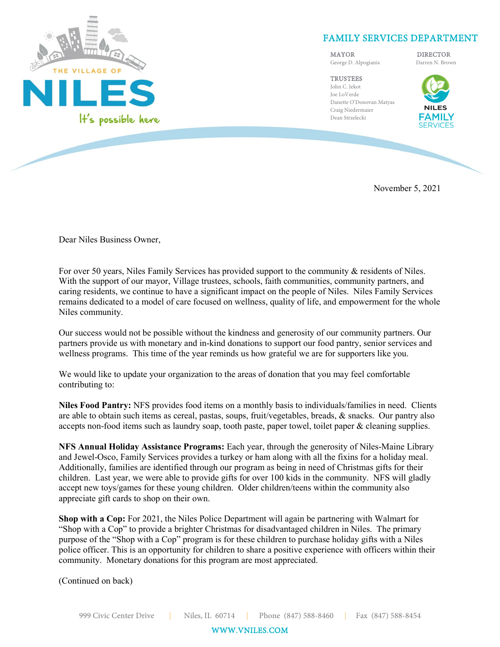

## FAMILY SERVICES DEPARTMENT

MAYOR DIRECTOR George D. Alpogianis Darren N. Brown

**TRUSTEES** John C. Jekot Joe LoVerde Danette O'Donovan Matyas Craig Niedermaier Dean Strzelecki



November 5, 2021

Dear Niles Business Owner,

For over 50 years, Niles Family Services has provided support to the community & residents of Niles. With the support of our mayor, Village trustees, schools, faith communities, community partners, and caring residents, we continue to have a significant impact on the people of Niles. Niles Family Services remains dedicated to a model of care focused on wellness, quality of life, and empowerment for the whole Niles community.

Our success would not be possible without the kindness and generosity of our community partners. Our partners provide us with monetary and in-kind donations to support our food pantry, senior services and wellness programs. This time of the year reminds us how grateful we are for supporters like you.

We would like to update your organization to the areas of donation that you may feel comfortable contributing to:

**Niles Food Pantry:** NFS provides food items on a monthly basis to individuals/families in need. Clients are able to obtain such items as cereal, pastas, soups, fruit/vegetables, breads, & snacks. Our pantry also accepts non-food items such as laundry soap, tooth paste, paper towel, toilet paper & cleaning supplies.

**NFS Annual Holiday Assistance Programs:** Each year, through the generosity of Niles-Maine Library and Jewel-Osco, Family Services provides a turkey or ham along with all the fixins for a holiday meal. Additionally, families are identified through our program as being in need of Christmas gifts for their children. Last year, we were able to provide gifts for over 100 kids in the community. NFS will gladly accept new toys/games for these young children. Older children/teens within the community also appreciate gift cards to shop on their own.

**Shop with a Cop:** For 2021, the Niles Police Department will again be partnering with Walmart for "Shop with a Cop" to provide a brighter Christmas for disadvantaged children in Niles. The primary purpose of the "Shop with a Cop" program is for these children to purchase holiday gifts with a Niles police officer. This is an opportunity for children to share a positive experience with officers within their community. Monetary donations for this program are most appreciated.

(Continued on back)